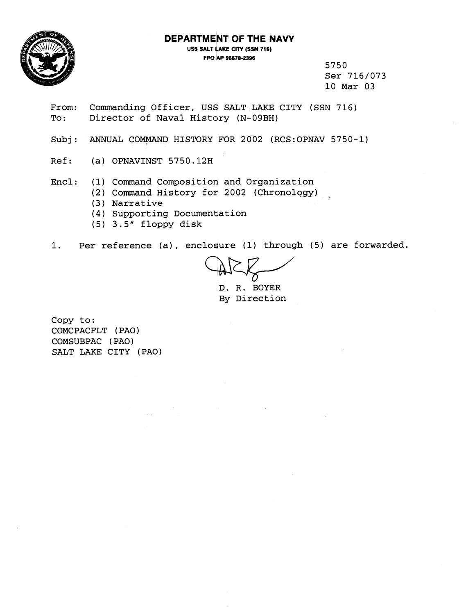

**FPO hp 96678-2396** 



5750 Ser 716/073 10 Mar 03

- From: Commanding Officer, US\$ SALT LAKE CITY (SSN 716) To: Director of Naval History (N-09BH)
- Subj: ANNUAL COMMAND HISTORY FOR 2002 (RCS:OPNAV 5750-1)
- Ref: (a) OPNAVINST 5750.12H
- Encl: (1) Command Composition and Organization
	- (2) Command History for 2002 (Chronology)
	- ( 3 ) Narrative
	- (4) Supporting Documentation
	- (5) 3.5" floppy disk

1. Per reference (a), enclosure (1) through (5) are forwarded.

D. R. BOYER By Direction

Copy to: COMCPACFLT (PA01 COMSUBPAC ( PA0 ) SALT LAKE CITY (PAO)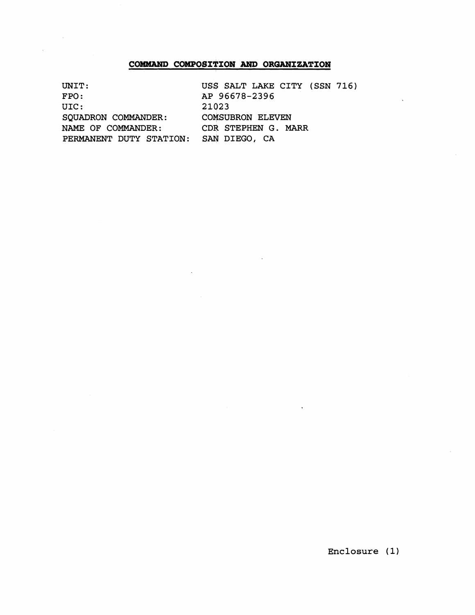## **COMMAND COMPOSITION AND ORGANIZATION**

| UNIT:                   | USS SALT LAKE CITY (SSN 716) |
|-------------------------|------------------------------|
| FPO:                    | AP 96678-2396                |
| UIC:                    | 21023                        |
| SQUADRON COMMANDER:     | <b>COMSUBRON ELEVEN</b>      |
| NAME OF COMMANDER:      | CDR STEPHEN G. MARR          |
| PERMANENT DUTY STATION: | SAN DIEGO, CA                |

**Enclosure (1)** 

 $\ddot{\phantom{a}}$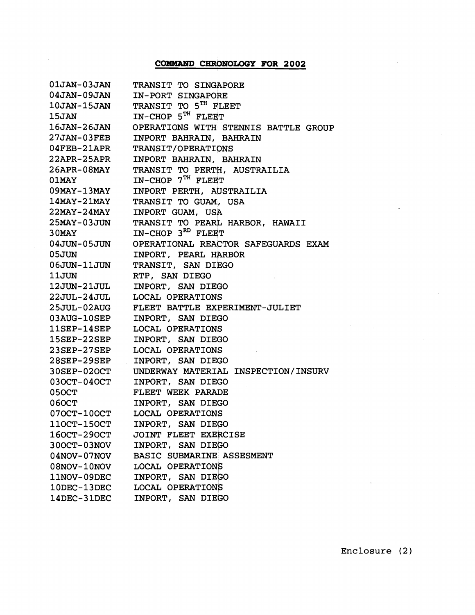## **COMMAND CHRONOLOGY FOR 2002**

| $01$ JAN- $03$ JAN | TRANSIT TO SINGAPORE                 |
|--------------------|--------------------------------------|
| 04JAN-09JAN        | <b>IN-PORT SINGAPORE</b>             |
| 10JAN-15JAN        | TRANSIT TO 5 <sup>TH</sup> FLEET     |
| <b>15JAN</b>       | $IN-CHOP$ 5 <sup>TH</sup> FLEET      |
| <b>16JAN-26JAN</b> | OPERATIONS WITH STENNIS BATTLE GROUP |
| 27JAN-03FEB        | INPORT BAHRAIN, BAHRAIN              |
| $04$ FEB-21APR     | TRANSIT/OPERATIONS                   |
| $22APR-25APR$      | INPORT BAHRAIN, BAHRAIN              |
| 26APR-08MAY        | TRANSIT TO PERTH, AUSTRAILIA         |
| $01$ MAY           | $IN$ -CHOP $7TH$ FLEET               |
| $09$ MAY-13MAY     | INPORT PERTH, AUSTRAILIA             |
| $14$ MAY-21MAY     | TRANSIT TO GUAM, USA                 |
| $22$ MAY- $24$ MAY | INPORT GUAM, USA                     |
| 25MAY-03JUN        | TRANSIT TO PEARL HARBOR, HAWAII      |
| $30$ MAY           | IN-CHOP 3 <sup>RD</sup> FLEET        |
| 04JUN-05JUN        | OPERATIONAL REACTOR SAFEGUARDS EXAM  |
| 05JUN              | INPORT, PEARL HARBOR                 |
| 06JUN-11JUN        | TRANSIT, SAN DIEGO                   |
| 11JUN              | RTP, SAN DIEGO                       |
| 12JUN-21JUL        | INPORT, SAN DIEGO                    |
| 22JUL-24JUL        | <b>LOCAL OPERATIONS</b>              |
| $25JUL-02AUG$      | FLEET BATTLE EXPERIMENT-JULIET       |
| $03AUG-10SEP$      | INPORT, SAN DIEGO                    |
| $11$ SEP- $14$ SEP | <b>LOCAL OPERATIONS</b>              |
| $15$ SEP- $22$ SEP | INPORT, SAN DIEGO                    |
| $23$ SEP- $27$ SEP | LOCAL OPERATIONS                     |
| 28SEP-29SEP        | INPORT, SAN DIEGO                    |
| 30SEP-02OCT        | UNDERWAY MATERIAL INSPECTION/INSURV  |
| $030CT-040CT$      | INPORT, SAN DIEGO                    |
| 05OCT              | FLEET WEEK PARADE                    |
| <b>060CT</b>       | INPORT, SAN DIEGO                    |
| $070CT-100CT$      | LOCAL OPERATIONS                     |
| 110CT-150CT        | INPORT, SAN DIEGO                    |
| 160CT-290CT        | JOINT FLEET EXERCISE                 |
| $300CT-03NOV$      | INPORT, SAN DIEGO                    |
| $04NOV-07NOV$      | BASIC SUBMARINE ASSESMENT            |
| $08NOV-10NOV$      | <b>LOCAL OPERATIONS</b>              |
| 11NOV-09DEC        | INPORT, SAN DIEGO                    |
| 10DEC-13DEC        | LOCAL OPERATIONS                     |
| 14DEC-31DEC        | INPORT, SAN DIEGO                    |

 $\ddot{\phantom{0}}$ 

 $\bar{z}$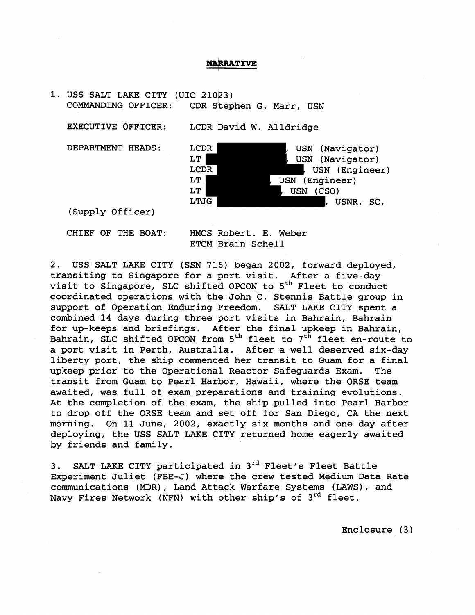## **NARRATIVE**

1. USS SALT LAKE CITY (UIC 21023) COMMANDING OFFICER: CDR Stephen G. Marr, USN

EXECUTIVE OFFICER: LCDR David W. Alldridge



(Supply Officer)

CHIEF OF THE BOAT: HMCS Robert. E. Weber ETCM Brain Schell

2. USS SALT LAKE CITY (SSN 716) began 2002, forward deployed, transiting to Singapore for a port visit. After a five-day visit to Singapore, SLC shifted OPCON to  $5<sup>th</sup>$  Fleet to conduct coordinated operations with the John C. Stennis Battle group in support of Operation Enduring Freedom. SALT LAKE CITY spent a combined 14 days during three port visits in Bahrain, Bahrain for up-keeps and briefings. After the final upkeep in Bahrain, Bahrain, SLC shifted OPCON from  $5<sup>th</sup>$  fleet to  $7<sup>th</sup>$  fleet en-route to a port visit in Perth, Australia. After a well deserved six-day liberty port, the ship commenced her transit to Guam for a final upkeep prior to the Operational Reactor Safeguards Exam. The transit from Guam to Pearl Harbor, Hawaii, where the ORSE team awaited, was full of exam preparations and training evolutions. At the completion of the exam, the ship pulled into Pearl Harbor to drop off the ORSE team and set off for San Diego, CA the next morning. On 11 June, 2002, exactly six months and one day after deploying, the USS SALT LAKE CITY returned home eagerly awaited by friends and family.

3. SALT LAKE CITY participated in 3<sup>rd</sup> Fleet's Fleet Battle Experiment Juliet (FBE-J) where the crew tested Medium Data Rate communications (MDR), Land Attack Warfare Systems (LAWS), and Navy Fires Network (NFN) with other ship's of  $3^{rd}$  fleet.

Enclosure ( **3** )